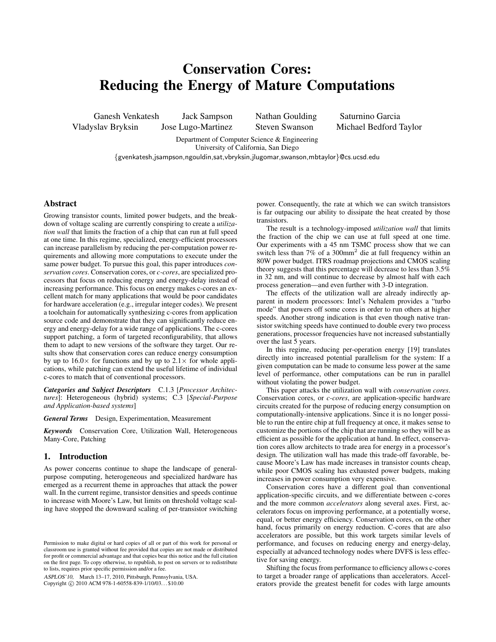# Conservation Cores: Reducing the Energy of Mature Computations

Ganesh Venkatesh Jack Sampson Nathan Goulding Saturnino Garcia Vladyslav Bryksin Jose Lugo-Martinez Steven Swanson Michael Bedford Taylor

Department of Computer Science & Engineering University of California, San Diego

{gvenkatesh,jsampson,ngouldin,sat,vbryksin,jlugomar,swanson,mbtaylor}@cs.ucsd.edu

# Abstract

Growing transistor counts, limited power budgets, and the breakdown of voltage scaling are currently conspiring to create a *utilization wall* that limits the fraction of a chip that can run at full speed at one time. In this regime, specialized, energy-efficient processors can increase parallelism by reducing the per-computation power requirements and allowing more computations to execute under the same power budget. To pursue this goal, this paper introduces *conservation cores*. Conservation cores, or *c-cores*, are specialized processors that focus on reducing energy and energy-delay instead of increasing performance. This focus on energy makes c-cores an excellent match for many applications that would be poor candidates for hardware acceleration (e.g., irregular integer codes). We present a toolchain for automatically synthesizing c-cores from application source code and demonstrate that they can significantly reduce energy and energy-delay for a wide range of applications. The c-cores support patching, a form of targeted reconfigurability, that allows them to adapt to new versions of the software they target. Our results show that conservation cores can reduce energy consumption by up to  $16.0\times$  for functions and by up to  $2.1\times$  for whole applications, while patching can extend the useful lifetime of individual c-cores to match that of conventional processors.

*Categories and Subject Descriptors* C.1.3 [*Processor Architectures*]: Heterogeneous (hybrid) systems; C.3 [*Special-Purpose and Application-based systems*]

*General Terms* Design, Experimentation, Measurement

*Keywords* Conservation Core, Utilization Wall, Heterogeneous Many-Core, Patching

# 1. Introduction

As power concerns continue to shape the landscape of generalpurpose computing, heterogeneous and specialized hardware has emerged as a recurrent theme in approaches that attack the power wall. In the current regime, transistor densities and speeds continue to increase with Moore's Law, but limits on threshold voltage scaling have stopped the downward scaling of per-transistor switching

ASPLOS'10, March 13–17, 2010, Pittsburgh, Pennsylvania, USA. Copyright © 2010 ACM 978-1-60558-839-1/10/03... \$10.00

power. Consequently, the rate at which we can switch transistors is far outpacing our ability to dissipate the heat created by those transistors.

The result is a technology-imposed *utilization wall* that limits the fraction of the chip we can use at full speed at one time. Our experiments with a 45 nm TSMC process show that we can switch less than 7% of a 300mm<sup>2</sup> die at full frequency within an 80W power budget. ITRS roadmap projections and CMOS scaling theory suggests that this percentage will decrease to less than 3.5% in 32 nm, and will continue to decrease by almost half with each process generation—and even further with 3-D integration.

The effects of the utilization wall are already indirectly apparent in modern processors: Intel's Nehalem provides a "turbo mode" that powers off some cores in order to run others at higher speeds. Another strong indication is that even though native transistor switching speeds have continued to double every two process generations, processor frequencies have not increased substantially over the last 5 years.

In this regime, reducing per-operation energy [19] translates directly into increased potential parallelism for the system: If a given computation can be made to consume less power at the same level of performance, other computations can be run in parallel without violating the power budget.

This paper attacks the utilization wall with *conservation cores*. Conservation cores, or *c-cores*, are application-specific hardware circuits created for the purpose of reducing energy consumption on computationally-intensive applications. Since it is no longer possible to run the entire chip at full frequency at once, it makes sense to customize the portions of the chip that are running so they will be as efficient as possible for the application at hand. In effect, conservation cores allow architects to trade area for energy in a processor's design. The utilization wall has made this trade-off favorable, because Moore's Law has made increases in transistor counts cheap, while poor CMOS scaling has exhausted power budgets, making increases in power consumption very expensive.

Conservation cores have a different goal than conventional application-specific circuits, and we differentiate between c-cores and the more common *accelerators* along several axes. First, accelerators focus on improving performance, at a potentially worse, equal, or better energy efficiency. Conservation cores, on the other hand, focus primarily on energy reduction. C-cores that are also accelerators are possible, but this work targets similar levels of performance, and focuses on reducing energy and energy-delay, especially at advanced technology nodes where DVFS is less effective for saving energy.

Shifting the focus from performance to efficiency allows c-cores to target a broader range of applications than accelerators. Accelerators provide the greatest benefit for codes with large amounts

Permission to make digital or hard copies of all or part of this work for personal or classroom use is granted without fee provided that copies are not made or distributed for profit or commercial advantage and that copies bear this notice and the full citation on the first page. To copy otherwise, to republish, to post on servers or to redistribute to lists, requires prior specific permission and/or a fee.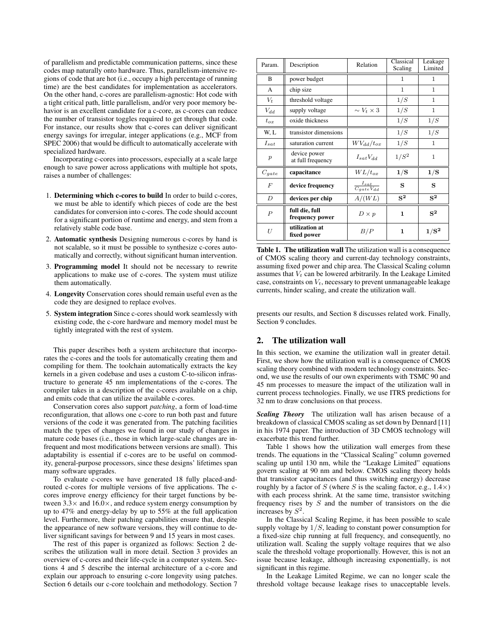of parallelism and predictable communication patterns, since these codes map naturally onto hardware. Thus, parallelism-intensive regions of code that are hot (i.e., occupy a high percentage of running time) are the best candidates for implementation as accelerators. On the other hand, c-cores are parallelism-agnostic: Hot code with a tight critical path, little parallelism, and/or very poor memory behavior is an excellent candidate for a c-core, as c-cores can reduce the number of transistor toggles required to get through that code. For instance, our results show that c-cores can deliver significant energy savings for irregular, integer applications (e.g., MCF from SPEC 2006) that would be difficult to automatically accelerate with specialized hardware.

Incorporating c-cores into processors, especially at a scale large enough to save power across applications with multiple hot spots, raises a number of challenges:

- 1. Determining which c-cores to build In order to build c-cores, we must be able to identify which pieces of code are the best candidates for conversion into c-cores. The code should account for a significant portion of runtime and energy, and stem from a relatively stable code base.
- 2. Automatic synthesis Designing numerous c-cores by hand is not scalable, so it must be possible to synthesize c-cores automatically and correctly, without significant human intervention.
- 3. Programming model It should not be necessary to rewrite applications to make use of c-cores. The system must utilize them automatically.
- 4. Longevity Conservation cores should remain useful even as the code they are designed to replace evolves.
- 5. System integration Since c-cores should work seamlessly with existing code, the c-core hardware and memory model must be tightly integrated with the rest of system.

This paper describes both a system architecture that incorporates the c-cores and the tools for automatically creating them and compiling for them. The toolchain automatically extracts the key kernels in a given codebase and uses a custom C-to-silicon infrastructure to generate 45 nm implementations of the c-cores. The compiler takes in a description of the c-cores available on a chip, and emits code that can utilize the available c-cores.

Conservation cores also support *patching*, a form of load-time reconfiguration, that allows one c-core to run both past and future versions of the code it was generated from. The patching facilities match the types of changes we found in our study of changes in mature code bases (i.e., those in which large-scale changes are infrequent and most modifications between versions are small). This adaptability is essential if c-cores are to be useful on commodity, general-purpose processors, since these designs' lifetimes span many software upgrades.

To evaluate c-cores we have generated 18 fully placed-androuted c-cores for multiple versions of five applications. The ccores improve energy efficiency for their target functions by between  $3.3\times$  and  $16.0\times$ , and reduce system energy consumption by up to 47% and energy-delay by up to 55% at the full application level. Furthermore, their patching capabilities ensure that, despite the appearance of new software versions, they will continue to deliver significant savings for between 9 and 15 years in most cases.

The rest of this paper is organized as follows: Section 2 describes the utilization wall in more detail. Section 3 provides an overview of c-cores and their life-cycle in a computer system. Sections 4 and 5 describe the internal architecture of a c-core and explain our approach to ensuring c-core longevity using patches. Section 6 details our c-core toolchain and methodology. Section 7

| Param.           | Description                       | Relation                         | Classical<br>Scaling | Leakage<br>Limited |
|------------------|-----------------------------------|----------------------------------|----------------------|--------------------|
| R                | power budget                      |                                  | 1                    | 1                  |
| A                | chip size                         |                                  | 1                    | $\mathbf{1}$       |
| Vt               | threshold voltage                 |                                  | 1/S                  | $\mathbf{1}$       |
| $V_{dd}$         | supply voltage                    | $\sim V_t \times 3$              | 1/S                  | $\mathbf{1}$       |
| $t_{ox}$         | oxide thickness                   |                                  | 1/S                  | 1/S                |
| W, L             | transistor dimensions             |                                  | 1/S                  | 1/S                |
| $I_{sat}$        | saturation current                | $WV_{dd}/t_{ox}$                 | 1/S                  | $\mathbf{1}$       |
| $\boldsymbol{p}$ | device power<br>at full frequency | $I_{sat}V_{dd}$                  | $1/S^2$              | $\mathbf{1}$       |
| $C_{gate}$       | capacitance                       | $WL/t_{ox}$                      | 1/S                  | 1/S                |
| F                | device frequency                  | $\frac{I_{sat}}{C_{gate}V_{dd}}$ | S                    | S                  |
| D                | devices per chip                  | A/(WL)                           | $S^2$                | $S^2$              |
| $\overline{P}$   | full die, full<br>frequency power | $D \times p$                     | $\mathbf{1}$         | $S^2$              |
| U                | utilization at<br>fixed power     | B/P                              | $\mathbf{1}$         | $1/S^2$            |

Table 1. The utilization wall The utilization wall is a consequence of CMOS scaling theory and current-day technology constraints, assuming fixed power and chip area. The Classical Scaling column assumes that  $V_t$  can be lowered arbitrarily. In the Leakage Limited case, constraints on  $V_t$ , necessary to prevent unmanageable leakage currents, hinder scaling, and create the utilization wall.

presents our results, and Section 8 discusses related work. Finally, Section 9 concludes.

# 2. The utilization wall

In this section, we examine the utilization wall in greater detail. First, we show how the utilization wall is a consequence of CMOS scaling theory combined with modern technology constraints. Second, we use the results of our own experiments with TSMC 90 and 45 nm processes to measure the impact of the utilization wall in current process technologies. Finally, we use ITRS predictions for 32 nm to draw conclusions on that process.

*Scaling Theory* The utilization wall has arisen because of a breakdown of classical CMOS scaling as set down by Dennard [11] in his 1974 paper. The introduction of 3D CMOS technology will exacerbate this trend further.

Table 1 shows how the utilization wall emerges from these trends. The equations in the "Classical Scaling" column governed scaling up until 130 nm, while the "Leakage Limited" equations govern scaling at 90 nm and below. CMOS scaling theory holds that transistor capacitances (and thus switching energy) decrease roughly by a factor of S (where S is the scaling factor, e.g.,  $1.4 \times$ ) with each process shrink. At the same time, transistor switching frequency rises by  $S$  and the number of transistors on the die increases by  $S^2$ .

In the Classical Scaling Regime, it has been possible to scale supply voltage by  $1/S$ , leading to constant power consumption for a fixed-size chip running at full frequency, and consequently, no utilization wall. Scaling the supply voltage requires that we also scale the threshold voltage proportionally. However, this is not an issue because leakage, although increasing exponentially, is not significant in this regime.

In the Leakage Limited Regime, we can no longer scale the threshold voltage because leakage rises to unacceptable levels.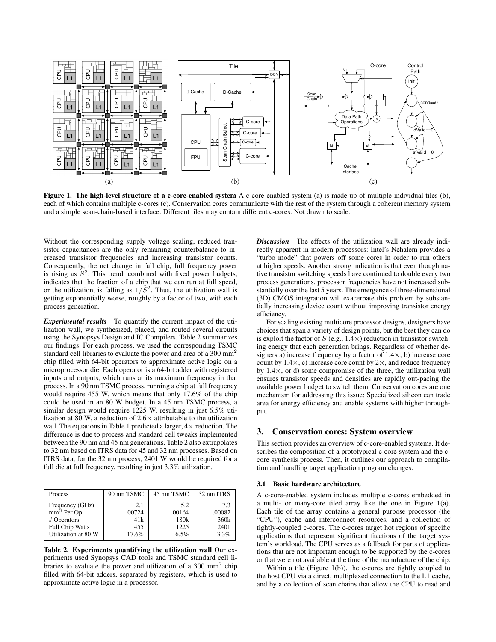

Figure 1. The high-level structure of a c-core-enabled system A c-core-enabled system (a) is made up of multiple individual tiles (b), each of which contains multiple c-cores (c). Conservation cores communicate with the rest of the system through a coherent memory system and a simple scan-chain-based interface. Different tiles may contain different c-cores. Not drawn to scale.

Without the corresponding supply voltage scaling, reduced transistor capacitances are the only remaining counterbalance to increased transistor frequencies and increasing transistor counts. Consequently, the net change in full chip, full frequency power is rising as  $S<sup>2</sup>$ . This trend, combined with fixed power budgets, indicates that the fraction of a chip that we can run at full speed, or the utilization, is falling as  $1/\tilde{S}^2$ . Thus, the utilization wall is getting exponentially worse, roughly by a factor of two, with each process generation.

*Experimental results* To quantify the current impact of the utilization wall, we synthesized, placed, and routed several circuits using the Synopsys Design and IC Compilers. Table 2 summarizes our findings. For each process, we used the corresponding TSMC standard cell libraries to evaluate the power and area of a 300 mm<sup>2</sup> chip filled with 64-bit operators to approximate active logic on a microprocessor die. Each operator is a 64-bit adder with registered inputs and outputs, which runs at its maximum frequency in that process. In a 90 nm TSMC process, running a chip at full frequency would require 455 W, which means that only 17.6% of the chip could be used in an 80 W budget. In a 45 nm TSMC process, a similar design would require 1225 W, resulting in just 6.5% utilization at 80 W, a reduction of  $2.6 \times$  attributable to the utilization wall. The equations in Table 1 predicted a larger,  $4 \times$  reduction. The difference is due to process and standard cell tweaks implemented between the 90 nm and 45 nm generations. Table 2 also extrapolates to 32 nm based on ITRS data for 45 and 32 nm processes. Based on ITRS data, for the 32 nm process, 2401 W would be required for a full die at full frequency, resulting in just 3.3% utilization.

| Process             | 90 nm TSMC | 45 nm TSMC | 32 nm ITRS |
|---------------------|------------|------------|------------|
| Frequency (GHz)     | 2.1        | 5.2        | 7.3        |
| $mm2$ Per Op.       | .00724     | .00164     | .00082     |
| # Operators         | 41k        | 180k       | 360k       |
| Full Chip Watts     | 455        | 1225       | 2401       |
| Utilization at 80 W | 17.6%      | 6.5%       | 3.3%       |

Table 2. Experiments quantifying the utilization wall Our experiments used Synopsys CAD tools and TSMC standard cell libraries to evaluate the power and utilization of a 300 mm<sup>2</sup> chip filled with 64-bit adders, separated by registers, which is used to approximate active logic in a processor.

*Discussion* The effects of the utilization wall are already indirectly apparent in modern processors: Intel's Nehalem provides a "turbo mode" that powers off some cores in order to run others at higher speeds. Another strong indication is that even though native transistor switching speeds have continued to double every two process generations, processor frequencies have not increased substantially over the last 5 years. The emergence of three-dimensional (3D) CMOS integration will exacerbate this problem by substantially increasing device count without improving transistor energy efficiency.

For scaling existing multicore processor designs, designers have choices that span a variety of design points, but the best they can do is exploit the factor of  $S$  (e.g.,  $1.4 \times$ ) reduction in transistor switching energy that each generation brings. Regardless of whether designers a) increase frequency by a factor of  $1.4 \times$ , b) increase core count by  $1.4 \times$ , c) increase core count by  $2 \times$ , and reduce frequency by  $1.4 \times$ , or d) some compromise of the three, the utilization wall ensures transistor speeds and densities are rapidly out-pacing the available power budget to switch them. Conservation cores are one mechanism for addressing this issue: Specialized silicon can trade area for energy efficiency and enable systems with higher throughput.

# 3. Conservation cores: System overview

This section provides an overview of c-core-enabled systems. It describes the composition of a prototypical c-core system and the ccore synthesis process. Then, it outlines our approach to compilation and handling target application program changes.

## 3.1 Basic hardware architecture

A c-core-enabled system includes multiple c-cores embedded in a multi- or many-core tiled array like the one in Figure 1(a). Each tile of the array contains a general purpose processor (the "CPU"), cache and interconnect resources, and a collection of tightly-coupled c-cores. The c-cores target hot regions of specific applications that represent significant fractions of the target system's workload. The CPU serves as a fallback for parts of applications that are not important enough to be supported by the c-cores or that were not available at the time of the manufacture of the chip.

Within a tile (Figure 1(b)), the c-cores are tightly coupled to the host CPU via a direct, multiplexed connection to the L1 cache, and by a collection of scan chains that allow the CPU to read and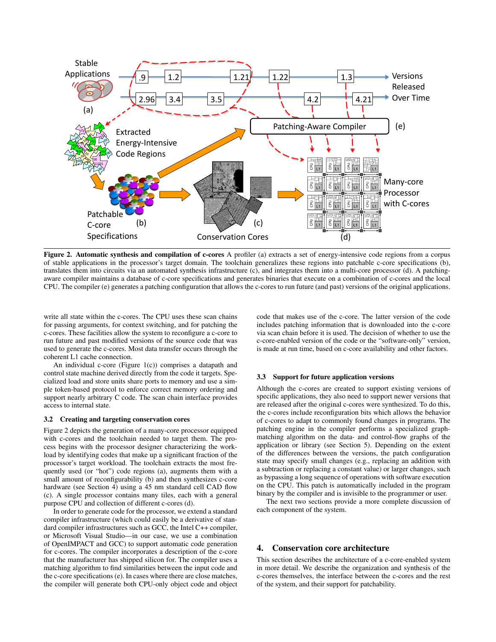

Figure 2. Automatic synthesis and compilation of c-cores A profiler (a) extracts a set of energy-intensive code regions from a corpus of stable applications in the processor's target domain. The toolchain generalizes these regions into patchable c-core specifications (b), translates them into circuits via an automated synthesis infrastructure (c), and integrates them into a multi-core processor (d). A patchingaware compiler maintains a database of c-core specifications and generates binaries that execute on a combination of c-cores and the local CPU. The compiler (e) generates a patching configuration that allows the c-cores to run future (and past) versions of the original applications.

write all state within the c-cores. The CPU uses these scan chains for passing arguments, for context switching, and for patching the c-cores. These facilities allow the system to reconfigure a c-core to run future and past modified versions of the source code that was used to generate the c-cores. Most data transfer occurs through the coherent L1 cache connection.

An individual c-core (Figure  $1(c)$ ) comprises a datapath and control state machine derived directly from the code it targets. Specialized load and store units share ports to memory and use a simple token-based protocol to enforce correct memory ordering and support nearly arbitrary C code. The scan chain interface provides access to internal state.

# 3.2 Creating and targeting conservation cores

Figure 2 depicts the generation of a many-core processor equipped with c-cores and the toolchain needed to target them. The process begins with the processor designer characterizing the workload by identifying codes that make up a significant fraction of the processor's target workload. The toolchain extracts the most frequently used (or "hot") code regions (a), augments them with a small amount of reconfigurability (b) and then synthesizes c-core hardware (see Section 4) using a 45 nm standard cell CAD flow (c). A single processor contains many tiles, each with a general purpose CPU and collection of different c-cores (d).

In order to generate code for the processor, we extend a standard compiler infrastructure (which could easily be a derivative of standard compiler infrastructures such as GCC, the Intel C++ compiler, or Microsoft Visual Studio—in our case, we use a combination of OpenIMPACT and GCC) to support automatic code generation for c-cores. The compiler incorporates a description of the c-core that the manufacturer has shipped silicon for. The compiler uses a matching algorithm to find similarities between the input code and the c-core specifications (e). In cases where there are close matches, the compiler will generate both CPU-only object code and object

code that makes use of the c-core. The latter version of the code includes patching information that is downloaded into the c-core via scan chain before it is used. The decision of whether to use the c-core-enabled version of the code or the "software-only" version, is made at run time, based on c-core availability and other factors.

#### 3.3 Support for future application versions

Although the c-cores are created to support existing versions of specific applications, they also need to support newer versions that are released after the original c-cores were synthesized. To do this, the c-cores include reconfiguration bits which allows the behavior of c-cores to adapt to commonly found changes in programs. The patching engine in the compiler performs a specialized graphmatching algorithm on the data- and control-flow graphs of the application or library (see Section 5). Depending on the extent of the differences between the versions, the patch configuration state may specify small changes (e.g., replacing an addition with a subtraction or replacing a constant value) or larger changes, such as bypassing a long sequence of operations with software execution on the CPU. This patch is automatically included in the program binary by the compiler and is invisible to the programmer or user.

The next two sections provide a more complete discussion of each component of the system.

# 4. Conservation core architecture

This section describes the architecture of a c-core-enabled system in more detail. We describe the organization and synthesis of the c-cores themselves, the interface between the c-cores and the rest of the system, and their support for patchability.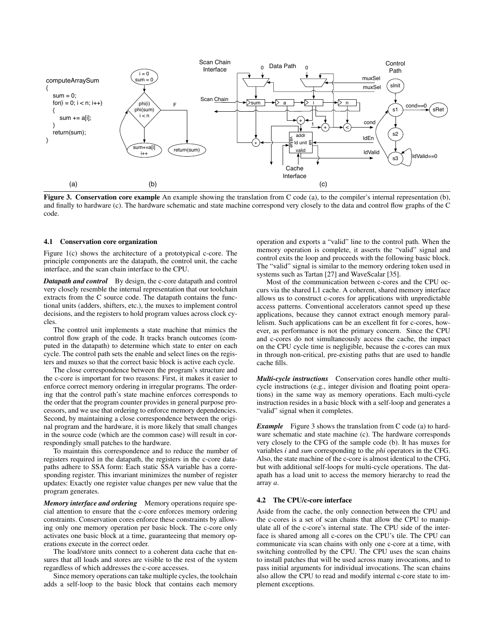

Figure 3. Conservation core example An example showing the translation from C code (a), to the compiler's internal representation (b), and finally to hardware (c). The hardware schematic and state machine correspond very closely to the data and control flow graphs of the C code.

#### 4.1 Conservation core organization

Figure 1(c) shows the architecture of a prototypical c-core. The principle components are the datapath, the control unit, the cache interface, and the scan chain interface to the CPU.

*Datapath and control* By design, the c-core datapath and control very closely resemble the internal representation that our toolchain extracts from the C source code. The datapath contains the functional units (adders, shifters, etc.), the muxes to implement control decisions, and the registers to hold program values across clock cycles.

The control unit implements a state machine that mimics the control flow graph of the code. It tracks branch outcomes (computed in the datapath) to determine which state to enter on each cycle. The control path sets the enable and select lines on the registers and muxes so that the correct basic block is active each cycle.

The close correspondence between the program's structure and the c-core is important for two reasons: First, it makes it easier to enforce correct memory ordering in irregular programs. The ordering that the control path's state machine enforces corresponds to the order that the program counter provides in general purpose processors, and we use that ordering to enforce memory dependencies. Second, by maintaining a close correspondence between the original program and the hardware, it is more likely that small changes in the source code (which are the common case) will result in correspondingly small patches to the hardware.

To maintain this correspondence and to reduce the number of registers required in the datapath, the registers in the c-core datapaths adhere to SSA form: Each static SSA variable has a corresponding register. This invariant minimizes the number of register updates: Exactly one register value changes per new value that the program generates.

*Memory interface and ordering* Memory operations require special attention to ensure that the c-core enforces memory ordering constraints. Conservation cores enforce these constraints by allowing only one memory operation per basic block. The c-core only activates one basic block at a time, guaranteeing that memory operations execute in the correct order.

The load/store units connect to a coherent data cache that ensures that all loads and stores are visible to the rest of the system regardless of which addresses the c-core accesses.

Since memory operations can take multiple cycles, the toolchain adds a self-loop to the basic block that contains each memory

operation and exports a "valid" line to the control path. When the memory operation is complete, it asserts the "valid" signal and control exits the loop and proceeds with the following basic block. The "valid" signal is similar to the memory ordering token used in systems such as Tartan [27] and WaveScalar [35].

Most of the communication between c-cores and the CPU occurs via the shared L1 cache. A coherent, shared memory interface allows us to construct c-cores for applications with unpredictable access patterns. Conventional accelerators cannot speed up these applications, because they cannot extract enough memory parallelism. Such applications can be an excellent fit for c-cores, however, as performance is not the primary concern. Since the CPU and c-cores do not simultaneously access the cache, the impact on the CPU cycle time is negligible, because the c-cores can mux in through non-critical, pre-existing paths that are used to handle cache fills.

*Multi-cycle instructions* Conservation cores handle other multicycle instructions (e.g., integer division and floating point operations) in the same way as memory operations. Each multi-cycle instruction resides in a basic block with a self-loop and generates a "valid" signal when it completes.

*Example* Figure 3 shows the translation from C code (a) to hardware schematic and state machine (c). The hardware corresponds very closely to the CFG of the sample code (b). It has muxes for variables *i* and *sum* corresponding to the *phi* operators in the CFG. Also, the state machine of the c-core is almost identical to the CFG, but with additional self-loops for multi-cycle operations. The datapath has a load unit to access the memory hierarchy to read the array *a*.

#### 4.2 The CPU/c-core interface

Aside from the cache, the only connection between the CPU and the c-cores is a set of scan chains that allow the CPU to manipulate all of the c-core's internal state. The CPU side of the interface is shared among all c-cores on the CPU's tile. The CPU can communicate via scan chains with only one c-core at a time, with switching controlled by the CPU. The CPU uses the scan chains to install patches that will be used across many invocations, and to pass initial arguments for individual invocations. The scan chains also allow the CPU to read and modify internal c-core state to implement exceptions.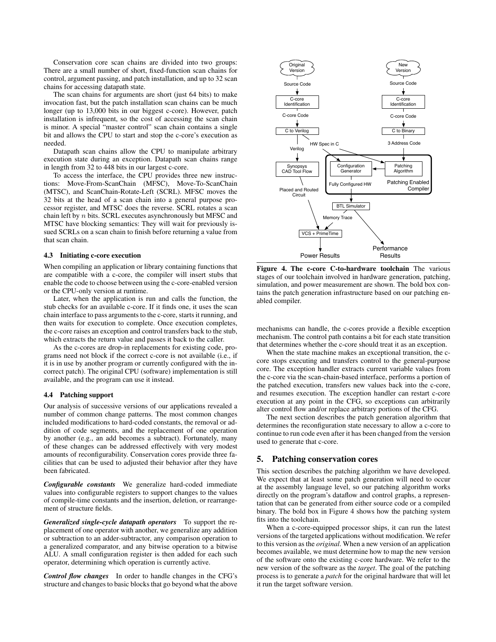Conservation core scan chains are divided into two groups: There are a small number of short, fixed-function scan chains for control, argument passing, and patch installation, and up to 32 scan chains for accessing datapath state.

The scan chains for arguments are short (just 64 bits) to make invocation fast, but the patch installation scan chains can be much longer (up to 13,000 bits in our biggest c-core). However, patch installation is infrequent, so the cost of accessing the scan chain is minor. A special "master control" scan chain contains a single bit and allows the CPU to start and stop the c-core's execution as needed.

Datapath scan chains allow the CPU to manipulate arbitrary execution state during an exception. Datapath scan chains range in length from 32 to 448 bits in our largest c-core.

To access the interface, the CPU provides three new instructions: Move-From-ScanChain (MFSC), Move-To-ScanChain (MTSC), and ScanChain-Rotate-Left (SCRL). MFSC moves the 32 bits at the head of a scan chain into a general purpose processor register, and MTSC does the reverse. SCRL rotates a scan chain left by n bits. SCRL executes asynchronously but MFSC and MTSC have blocking semantics: They will wait for previously issued SCRLs on a scan chain to finish before returning a value from that scan chain.

#### 4.3 Initiating c-core execution

When compiling an application or library containing functions that are compatible with a c-core, the compiler will insert stubs that enable the code to choose between using the c-core-enabled version or the CPU-only version at runtime.

Later, when the application is run and calls the function, the stub checks for an available c-core. If it finds one, it uses the scan chain interface to pass arguments to the c-core, starts it running, and then waits for execution to complete. Once execution completes, the c-core raises an exception and control transfers back to the stub, which extracts the return value and passes it back to the caller.

As the c-cores are drop-in replacements for existing code, programs need not block if the correct c-core is not available (i.e., if it is in use by another program or currently configured with the incorrect patch). The original CPU (software) implementation is still available, and the program can use it instead.

#### 4.4 Patching support

Our analysis of successive versions of our applications revealed a number of common change patterns. The most common changes included modifications to hard-coded constants, the removal or addition of code segments, and the replacement of one operation by another (e.g., an add becomes a subtract). Fortunately, many of these changes can be addressed effectively with very modest amounts of reconfigurability. Conservation cores provide three facilities that can be used to adjusted their behavior after they have been fabricated.

*Configurable constants* We generalize hard-coded immediate values into configurable registers to support changes to the values of compile-time constants and the insertion, deletion, or rearrangement of structure fields.

*Generalized single-cycle datapath operators* To support the replacement of one operator with another, we generalize any addition or subtraction to an adder-subtractor, any comparison operation to a generalized comparator, and any bitwise operation to a bitwise ALU. A small configuration register is then added for each such operator, determining which operation is currently active.

*Control flow changes* In order to handle changes in the CFG's structure and changes to basic blocks that go beyond what the above



Figure 4. The c-core C-to-hardware toolchain The various stages of our toolchain involved in hardware generation, patching, simulation, and power measurement are shown. The bold box contains the patch generation infrastructure based on our patching enabled compiler.

mechanisms can handle, the c-cores provide a flexible exception mechanism. The control path contains a bit for each state transition that determines whether the c-core should treat it as an exception.

When the state machine makes an exceptional transition, the ccore stops executing and transfers control to the general-purpose core. The exception handler extracts current variable values from the c-core via the scan-chain-based interface, performs a portion of the patched execution, transfers new values back into the c-core, and resumes execution. The exception handler can restart c-core execution at any point in the CFG, so exceptions can arbitrarily alter control flow and/or replace arbitrary portions of the CFG.

The next section describes the patch generation algorithm that determines the reconfiguration state necessary to allow a c-core to continue to run code even after it has been changed from the version used to generate that c-core.

# 5. Patching conservation cores

This section describes the patching algorithm we have developed. We expect that at least some patch generation will need to occur at the assembly language level, so our patching algorithm works directly on the program's dataflow and control graphs, a representation that can be generated from either source code or a compiled binary. The bold box in Figure 4 shows how the patching system fits into the toolchain.

When a c-core-equipped processor ships, it can run the latest versions of the targeted applications without modification. We refer to this version as the *original*. When a new version of an application becomes available, we must determine how to map the new version of the software onto the existing c-core hardware. We refer to the new version of the software as the *target*. The goal of the patching process is to generate a *patch* for the original hardware that will let it run the target software version.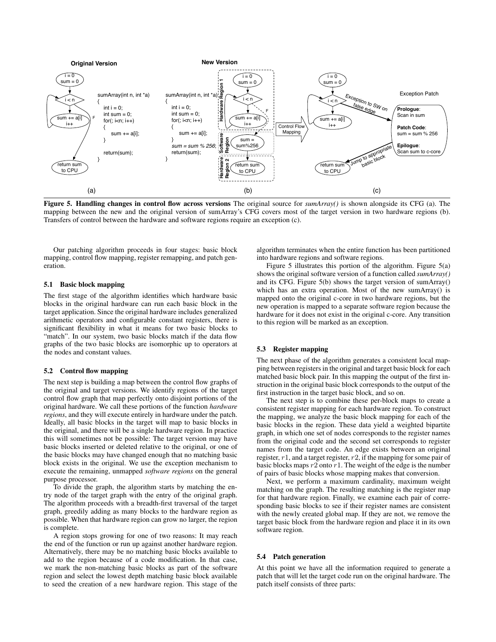

Figure 5. Handling changes in control flow across versions The original source for *sumArray()* is shown alongside its CFG (a). The mapping between the new and the original version of sumArray's CFG covers most of the target version in two hardware regions (b). Transfers of control between the hardware and software regions require an exception (c).

Our patching algorithm proceeds in four stages: basic block mapping, control flow mapping, register remapping, and patch generation.

## 5.1 Basic block mapping

The first stage of the algorithm identifies which hardware basic blocks in the original hardware can run each basic block in the target application. Since the original hardware includes generalized arithmetic operators and configurable constant registers, there is significant flexibility in what it means for two basic blocks to "match". In our system, two basic blocks match if the data flow graphs of the two basic blocks are isomorphic up to operators at the nodes and constant values.

#### 5.2 Control flow mapping

The next step is building a map between the control flow graphs of the original and target versions. We identify regions of the target control flow graph that map perfectly onto disjoint portions of the original hardware. We call these portions of the function *hardware regions*, and they will execute entirely in hardware under the patch. Ideally, all basic blocks in the target will map to basic blocks in the original, and there will be a single hardware region. In practice this will sometimes not be possible: The target version may have basic blocks inserted or deleted relative to the original, or one of the basic blocks may have changed enough that no matching basic block exists in the original. We use the exception mechanism to execute the remaining, unmapped *software regions* on the general purpose processor.

To divide the graph, the algorithm starts by matching the entry node of the target graph with the entry of the original graph. The algorithm proceeds with a breadth-first traversal of the target graph, greedily adding as many blocks to the hardware region as possible. When that hardware region can grow no larger, the region is complete.

A region stops growing for one of two reasons: It may reach the end of the function or run up against another hardware region. Alternatively, there may be no matching basic blocks available to add to the region because of a code modification. In that case, we mark the non-matching basic blocks as part of the software region and select the lowest depth matching basic block available to seed the creation of a new hardware region. This stage of the

algorithm terminates when the entire function has been partitioned into hardware regions and software regions.

Figure 5 illustrates this portion of the algorithm. Figure 5(a) shows the original software version of a function called *sumArray()* and its CFG. Figure 5(b) shows the target version of sumArray() which has an extra operation. Most of the new sumArray() is mapped onto the original c-core in two hardware regions, but the new operation is mapped to a separate software region because the hardware for it does not exist in the original c-core. Any transition to this region will be marked as an exception.

#### 5.3 Register mapping

The next phase of the algorithm generates a consistent local mapping between registers in the original and target basic block for each matched basic block pair. In this mapping the output of the first instruction in the original basic block corresponds to the output of the first instruction in the target basic block, and so on.

The next step is to combine these per-block maps to create a consistent register mapping for each hardware region. To construct the mapping, we analyze the basic block mapping for each of the basic blocks in the region. These data yield a weighted bipartite graph, in which one set of nodes corresponds to the register names from the original code and the second set corresponds to register names from the target code. An edge exists between an original register,  $r1$ , and a target register,  $r2$ , if the mapping for some pair of basic blocks maps  $r2$  onto  $r1$ . The weight of the edge is the number of pairs of basic blocks whose mapping makes that conversion.

Next, we perform a maximum cardinality, maximum weight matching on the graph. The resulting matching is the register map for that hardware region. Finally, we examine each pair of corresponding basic blocks to see if their register names are consistent with the newly created global map. If they are not, we remove the target basic block from the hardware region and place it in its own software region.

## 5.4 Patch generation

At this point we have all the information required to generate a patch that will let the target code run on the original hardware. The patch itself consists of three parts: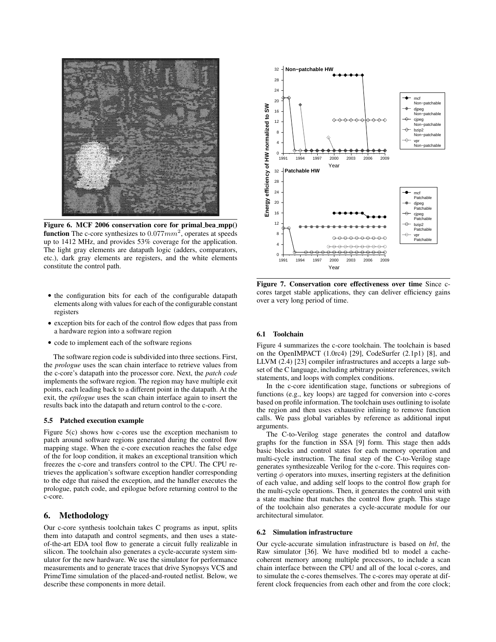

Figure 6. MCF 2006 conservation core for primal bea mpp() **function** The c-core synthesizes to  $0.077mm^2$ , operates at speeds up to 1412 MHz, and provides 53% coverage for the application. The light gray elements are datapath logic (adders, comparators, etc.), dark gray elements are registers, and the white elements constitute the control path.

- the configuration bits for each of the configurable datapath elements along with values for each of the configurable constant registers
- exception bits for each of the control flow edges that pass from a hardware region into a software region
- code to implement each of the software regions

The software region code is subdivided into three sections. First, the *prologue* uses the scan chain interface to retrieve values from the c-core's datapath into the processor core. Next, the *patch code* implements the software region. The region may have multiple exit points, each leading back to a different point in the datapath. At the exit, the *epilogue* uses the scan chain interface again to insert the results back into the datapath and return control to the c-core.

#### 5.5 Patched execution example

Figure 5(c) shows how c-cores use the exception mechanism to patch around software regions generated during the control flow mapping stage. When the c-core execution reaches the false edge of the for loop condition, it makes an exceptional transition which freezes the c-core and transfers control to the CPU. The CPU retrieves the application's software exception handler corresponding to the edge that raised the exception, and the handler executes the prologue, patch code, and epilogue before returning control to the c-core.

# 6. Methodology

Our c-core synthesis toolchain takes C programs as input, splits them into datapath and control segments, and then uses a stateof-the-art EDA tool flow to generate a circuit fully realizable in silicon. The toolchain also generates a cycle-accurate system simulator for the new hardware. We use the simulator for performance measurements and to generate traces that drive Synopsys VCS and PrimeTime simulation of the placed-and-routed netlist. Below, we describe these components in more detail.



Figure 7. Conservation core effectiveness over time Since ccores target stable applications, they can deliver efficiency gains over a very long period of time.

# 6.1 Toolchain

Figure 4 summarizes the c-core toolchain. The toolchain is based on the OpenIMPACT (1.0rc4) [29], CodeSurfer (2.1p1) [8], and LLVM (2.4) [23] compiler infrastructures and accepts a large subset of the C language, including arbitrary pointer references, switch statements, and loops with complex conditions.

In the c-core identification stage, functions or subregions of functions (e.g., key loops) are tagged for conversion into c-cores based on profile information. The toolchain uses outlining to isolate the region and then uses exhaustive inlining to remove function calls. We pass global variables by reference as additional input arguments.

The C-to-Verilog stage generates the control and dataflow graphs for the function in SSA [9] form. This stage then adds basic blocks and control states for each memory operation and multi-cycle instruction. The final step of the C-to-Verilog stage generates synthesizeable Verilog for the c-core. This requires converting  $\phi$  operators into muxes, inserting registers at the definition of each value, and adding self loops to the control flow graph for the multi-cycle operations. Then, it generates the control unit with a state machine that matches the control flow graph. This stage of the toolchain also generates a cycle-accurate module for our architectural simulator.

#### 6.2 Simulation infrastructure

Our cycle-accurate simulation infrastructure is based on *btl*, the Raw simulator [36]. We have modified btl to model a cachecoherent memory among multiple processors, to include a scan chain interface between the CPU and all of the local c-cores, and to simulate the c-cores themselves. The c-cores may operate at different clock frequencies from each other and from the core clock;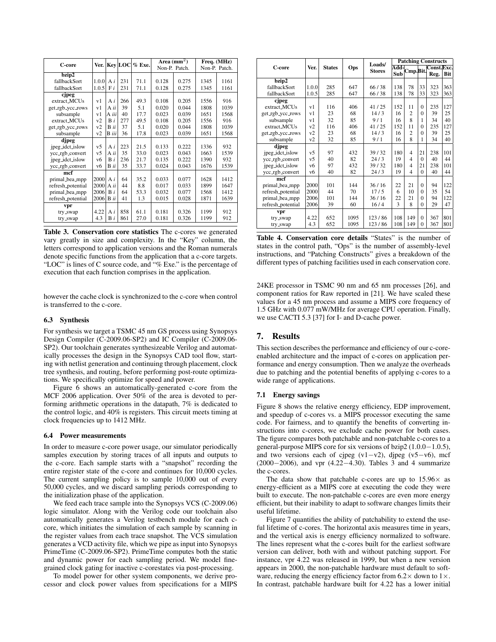| C-core            | Ver.           |                | Key LOC | $%$ Exe. | Area $(mm2)$  |       | Freq. (MHz)   |      |  |
|-------------------|----------------|----------------|---------|----------|---------------|-------|---------------|------|--|
|                   |                |                |         |          | Non-P. Patch. |       | Non-P. Patch. |      |  |
| bzip2             |                |                |         |          |               |       |               |      |  |
| fallbackSort      | 1.0.0          | A i            | 231     | 71.1     | 0.128         | 0.275 | 1345          | 1161 |  |
| fallbackSort      | 1.0.5          | $F_i$          | 231     | 71.1     | 0.128         | 0.275 | 1345          | 1161 |  |
| cjpeg             |                |                |         |          |               |       |               |      |  |
| extract_MCUs      | v <sub>1</sub> | Ai             | 266     | 49.3     | 0.108         | 0.205 | 1556          | 916  |  |
| get_rgb_ycc_rows  | v <sub>1</sub> | A ii           | 39      | 5.1      | 0.020         | 0.044 | 1808          | 1039 |  |
| subsample         | v1             | A iii          | 40      | 17.7     | 0.023         | 0.039 | 1651          | 1568 |  |
| extract_MCUs      | v2             | B <sub>i</sub> | 277     | 49.5     | 0.108         | 0.205 | 1556          | 916  |  |
| get_rgb_ycc_rows  | v2             | Bii            | 37      | 5.1      | 0.020         | 0.044 | 1808          | 1039 |  |
| subsample         | v2             | B iii          | 36      | 17.8     | 0.023         | 0.039 | 1651          | 1568 |  |
| djpeg             |                |                |         |          |               |       |               |      |  |
| jpeg_idct_islow   | v5             | A i            | 223     | 21.5     | 0.133         | 0.222 | 1336          | 932  |  |
| ycc_rgb_convert   | v <sub>5</sub> | A ii           | 35      | 33.0     | 0.023         | 0.043 | 1663          | 1539 |  |
| jpeg_idct_islow   | v6             | B <sub>i</sub> | 236     | 21.7     | 0.135         | 0.222 | 1390          | 932  |  |
| ycc_rgb_convert   | v6             | B ii           | 35      | 33.7     | 0.024         | 0.043 | 1676          | 1539 |  |
| mcf               |                |                |         |          |               |       |               |      |  |
| primal_bea_mpp    | 2000           | A i            | 64      | 35.2     | 0.033         | 0.077 | 1628          | 1412 |  |
| refresh_potential | 2000           | A ii           | 44      | 8.8      | 0.017         | 0.033 | 1899          | 1647 |  |
| primal_bea_mpp    | 2006           | $B_i$          | 64      | 53.3     | 0.032         | 0.077 | 1568          | 1412 |  |
| refresh_potential | 2006           | B ii           | 41      | 1.3      | 0.015         | 0.028 | 1871          | 1639 |  |
| vpr               |                |                |         |          |               |       |               |      |  |
| try_swap          | 4.22           | Αi             | 858     | 61.1     | 0.181         | 0.326 | 1199          | 912  |  |
| try_swap          | 4.3            | B <sub>i</sub> | 861     | 27.0     | 0.181         | 0.326 | 1199          | 912  |  |

Table 3. Conservation core statistics The c-cores we generated vary greatly in size and complexity. In the "Key" column, the letters correspond to application versions and the Roman numerals denote specific functions from the application that a c-core targets. "LOC" is lines of C source code, and "% Exe." is the percentage of execution that each function comprises in the application.

however the cache clock is synchronized to the c-core when control is transferred to the c-core.

#### 6.3 Synthesis

For synthesis we target a TSMC 45 nm GS process using Synopsys Design Compiler (C-2009.06-SP2) and IC Compiler (C-2009.06- SP2). Our toolchain generates synthesizeable Verilog and automatically processes the design in the Synopsys CAD tool flow, starting with netlist generation and continuing through placement, clock tree synthesis, and routing, before performing post-route optimizations. We specifically optimize for speed and power.

Figure 6 shows an automatically-generated c-core from the MCF 2006 application. Over 50% of the area is devoted to performing arithmetic operations in the datapath, 7% is dedicated to the control logic, and 40% is registers. This circuit meets timing at clock frequencies up to 1412 MHz.

## 6.4 Power measurements

In order to measure c-core power usage, our simulator periodically samples execution by storing traces of all inputs and outputs to the c-core. Each sample starts with a "snapshot" recording the entire register state of the c-core and continues for 10,000 cycles. The current sampling policy is to sample 10,000 out of every 50,000 cycles, and we discard sampling periods corresponding to the initialization phase of the application.

We feed each trace sample into the Synopsys VCS (C-2009.06) logic simulator. Along with the Verilog code our toolchain also automatically generates a Verilog testbench module for each ccore, which initiates the simulation of each sample by scanning in the register values from each trace snapshot. The VCS simulation generates a VCD activity file, which we pipe as input into Synopsys PrimeTime (C-2009.06-SP2). PrimeTime computes both the static and dynamic power for each sampling period. We model finegrained clock gating for inactive c-corestates via post-processing.

To model power for other system components, we derive processor and clock power values from specifications for a MIPS

|                   |                |               |      | Loads/<br><b>Stores</b> | <b>Patching Constructs</b> |                |                   |      |     |
|-------------------|----------------|---------------|------|-------------------------|----------------------------|----------------|-------------------|------|-----|
| C-core            | Ver.           | <b>States</b> | Ops  |                         | Add-<br>Cmp.Bit.           |                | <b>Const.Exc.</b> |      |     |
|                   |                |               |      |                         | Sub                        |                |                   | Reg. | Bit |
| bzip2             |                |               |      |                         |                            |                |                   |      |     |
| fallbackSort      | 1.0.0          | 285           | 647  | 66/38                   | 138                        | 78             | 33                | 323  | 363 |
| fallbackSort      | 1.0.5          | 285           | 647  | 66/38                   | 138                        | 78             | 33                | 323  | 363 |
| cjpeg             |                |               |      |                         |                            |                |                   |      |     |
| extract_MCUs      | v1             | 116           | 406  | 41/25                   | 152                        | 11             | $\Omega$          | 235  | 127 |
| get_rgb_ycc_rows  | v1             | 23            | 68   | 14/3                    | 16                         | $\overline{c}$ | $\Omega$          | 39   | 25  |
| subsample         | v1             | 32            | 85   | 9/1                     | 16                         | 8              | 1                 | 34   | 40  |
| extract_MCUs      | v2             | 116           | 406  | 41/25                   | 152                        | 11             | $\Omega$          | 235  | 127 |
| get_rgb_ycc_rows  | v2             | 23            | 68   | 14/3                    | 16                         | $\overline{c}$ | $\Omega$          | 39   | 25  |
| subsample         | v2             | 32            | 85   | 9/1                     | 16                         | 8              | 1                 | 34   | 40  |
| djpeg             |                |               |      |                         |                            |                |                   |      |     |
| jpeg_idct_islow   | v <sub>5</sub> | 97            | 432  | 39/32                   | 180                        | 4              | 21                | 238  | 101 |
| ycc_rgb_convert   | v <sub>5</sub> | 40            | 82   | 24/3                    | 19                         | 4              | $\Omega$          | 40   | 44  |
| jpeg_idct_islow   | v6             | 97            | 432  | 39/32                   | 180                        | 4              | 21                | 238  | 101 |
| ycc_rgb_convert   | v6             | 40            | 82   | 24/3                    | 19                         | $\overline{4}$ | $\Omega$          | 40   | 44  |
| mcf               |                |               |      |                         |                            |                |                   |      |     |
| primal_bea_mpp    | 2000           | 101           | 144  | 36/16                   | 22                         | 21             | $\Omega$          | 94   | 122 |
| refresh_potential | 2000           | 44            | 70   | 17/5                    | 6                          | 10             | $\Omega$          | 35   | 54  |
| primal_bea_mpp    | 2006           | 101           | 144  | 36/16                   | 22                         | 21             | $\Omega$          | 94   | 122 |
| refresh_potential | 2006           | 39            | 60   | 16/4                    | $\mathbf{3}$               | 8              | $\Omega$          | 29   | 47  |
| vpr               |                |               |      |                         |                            |                |                   |      |     |
| try_swap          | 4.22           | 652           | 1095 | 123/86                  | 108                        | 149            | $\Omega$          | 367  | 801 |
| try_swap          | 4.3            | 652           | 1095 | 123/86                  | 108                        | 149            | $\Omega$          | 367  | 801 |

Table 4. Conservation core details "States" is the number of states in the control path, "Ops" is the number of assembly-level instructions, and "Patching Constructs" gives a breakdown of the different types of patching facilities used in each conservation core.

24KE processor in TSMC 90 nm and 65 nm processes [26], and component ratios for Raw reported in [21]. We have scaled these values for a 45 nm process and assume a MIPS core frequency of 1.5 GHz with 0.077 mW/MHz for average CPU operation. Finally, we use CACTI 5.3 [37] for I- and D-cache power.

# 7. Results

This section describes the performance and efficiency of our c-coreenabled architecture and the impact of c-cores on application performance and energy consumption. Then we analyze the overheads due to patching and the potential benefits of applying c-cores to a wide range of applications.

#### 7.1 Energy savings

Figure 8 shows the relative energy efficiency, EDP improvement, and speedup of c-cores vs. a MIPS processor executing the same code. For fairness, and to quantify the benefits of converting instructions into c-cores, we exclude cache power for both cases. The figure compares both patchable and non-patchable c-cores to a general-purpose MIPS core for six versions of bzip2 (1.0.0−1.0.5), and two versions each of cjpeg  $(v1-v2)$ , djpeg  $(v5-v6)$ , mcf (2000−2006), and vpr (4.22−4.30). Tables 3 and 4 summarize the c-cores.

The data show that patchable c-cores are up to  $15.96\times$  as energy-efficient as a MIPS core at executing the code they were built to execute. The non-patchable c-cores are even more energy efficient, but their inability to adapt to software changes limits their useful lifetime.

Figure 7 quantifies the ability of patchability to extend the useful lifetime of c-cores. The horizontal axis measures time in years, and the vertical axis is energy efficiency normalized to software. The lines represent what the c-cores built for the earliest software version can deliver, both with and without patching support. For instance, vpr 4.22 was released in 1999, but when a new version appears in 2000, the non-patchable hardware must default to software, reducing the energy efficiency factor from  $6.2 \times$  down to  $1 \times$ . In contrast, patchable hardware built for 4.22 has a lower initial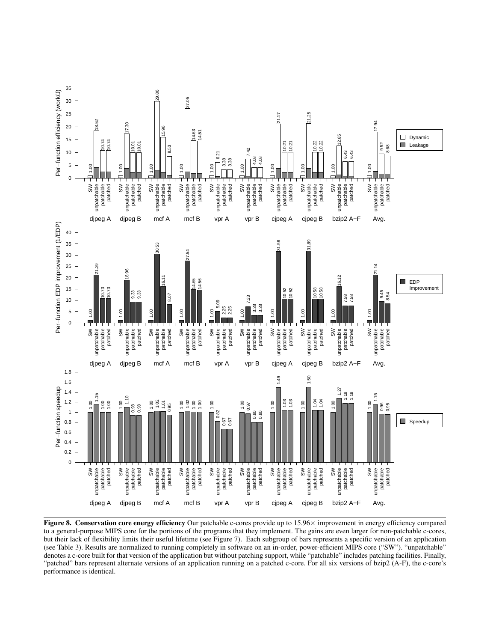

Figure 8. Conservation core energy efficiency Our patchable c-cores provide up to  $15.96\times$  improvement in energy efficiency compared to a general-purpose MIPS core for the portions of the programs that they implement. The gains are even larger for non-patchable c-cores, but their lack of flexibility limits their useful lifetime (see Figure 7). Each subgroup of bars represents a specific version of an application (see Table 3). Results are normalized to running completely in software on an in-order, power-efficient MIPS core ("SW"). "unpatchable" denotes a c-core built for that version of the application but without patching support, while "patchable" includes patching facilities. Finally, "patched" bars represent alternate versions of an application running on a patched c-core. For all six versions of bzip2 (A-F), the c-core's performance is identical.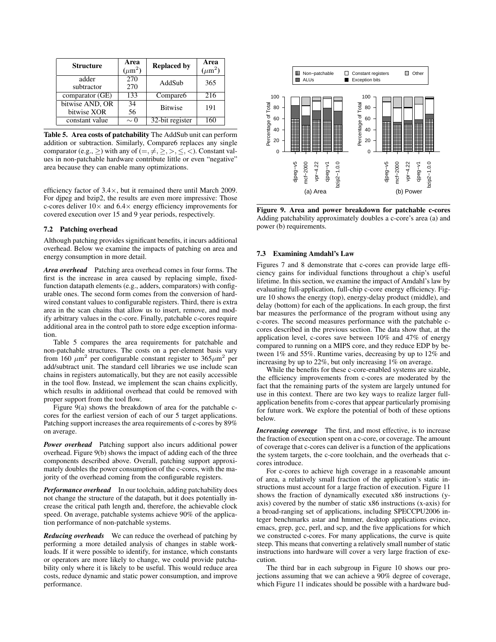| <b>Structure</b>               | Area<br>$(\mu m^2)$ | <b>Replaced by</b>   | Area<br>$(\mu m^2)$ |
|--------------------------------|---------------------|----------------------|---------------------|
| adder<br>subtractor            | 270<br>270          | AddSub               | 365                 |
| comparator (GE)                | 133                 | Compare <sub>6</sub> | 216                 |
| bitwise AND, OR<br>bitwise XOR | 34<br>56            | <b>Bitwise</b>       | 191                 |
| constant value                 | $\sim$ ()           | 32-bit register      | 160                 |

Table 5. Area costs of patchability The AddSub unit can perform addition or subtraction. Similarly, Compare6 replaces any single comparator (e.g.,  $\geq$ ) with any of (=,  $\neq$ ,  $\geq$ ,  $\geq$ ,  $\leq$ ,  $\lt$ ). Constant values in non-patchable hardware contribute little or even "negative" area because they can enable many optimizations.

efficiency factor of  $3.4 \times$ , but it remained there until March 2009. For djpeg and bzip2, the results are even more impressive: Those c-cores deliver  $10\times$  and  $6.4\times$  energy efficiency improvements for covered execution over 15 and 9 year periods, respectively.

## 7.2 Patching overhead

Although patching provides significant benefits, it incurs additional overhead. Below we examine the impacts of patching on area and energy consumption in more detail.

*Area overhead* Patching area overhead comes in four forms. The first is the increase in area caused by replacing simple, fixedfunction datapath elements (e.g., adders, comparators) with configurable ones. The second form comes from the conversion of hardwired constant values to configurable registers. Third, there is extra area in the scan chains that allow us to insert, remove, and modify arbitrary values in the c-core. Finally, patchable c-cores require additional area in the control path to store edge exception information. era because they can enter the system of the maximal state. The case is performance of  $\theta$  maximal state and below the system and  $\theta$  maximal state and  $\theta$  maximal state and  $\theta$  maximal state and  $\theta$  maximal state an

Table 5 compares the area requirements for patchable and non-patchable structures. The costs on a per-element basis vary from 160  $\mu$ m<sup>2</sup> per configurable constant register to 365 $\mu$ m<sup>2</sup> per add/subtract unit. The standard cell libraries we use include scan chains in registers automatically, but they are not easily accessible in the tool flow. Instead, we implement the scan chains explicitly, which results in additional overhead that could be removed with proper support from the tool flow.

Figure 9(a) shows the breakdown of area for the patchable ccores for the earliest version of each of our 5 target applications. Patching support increases the area requirements of c-cores by 89% on average.

*Power overhead* Patching support also incurs additional power overhead. Figure 9(b) shows the impact of adding each of the three components described above. Overall, patching support approximately doubles the power consumption of the c-cores, with the majority of the overhead coming from the configurable registers.

*Performance overhead* In our toolchain, adding patchability does not change the structure of the datapath, but it does potentially increase the critical path length and, therefore, the achievable clock speed. On average, patchable systems achieve 90% of the application performance of non-patchable systems.

*Reducing overheads* We can reduce the overhead of patching by performing a more detailed analysis of changes in stable workloads. If it were possible to identify, for instance, which constants or operators are more likely to change, we could provide patchability only where it is likely to be useful. This would reduce area costs, reduce dynamic and static power consumption, and improve



Figure 9. Area and power breakdown for patchable c-cores Adding patchability approximately doubles a c-core's area (a) and power (b) requirements.

## 7.3 Examining Amdahl's Law

Figures 7 and 8 demonstrate that c-cores can provide large efficiency gains for individual functions throughout a chip's useful lifetime. In this section, we examine the impact of Amdahl's law by evaluating full-application, full-chip c-core energy efficiency. Figure 10 shows the energy (top), energy-delay product (middle), and delay (bottom) for each of the applications. In each group, the first bar measures the performance of the program without using any c-cores. The second measures performance with the patchable ccores described in the previous section. The data show that, at the application level, c-cores save between 10% and 47% of energy compared to running on a MIPS core, and they reduce EDP by between 1% and 55%. Runtime varies, decreasing by up to 12% and increasing by up to 22%, but only increasing 1% on average.

While the benefits for these c-core-enabled systems are sizable, the efficiency improvements from c-cores are moderated by the fact that the remaining parts of the system are largely untuned for use in this context. There are two key ways to realize larger fullapplication benefits from c-cores that appear particularly promising for future work. We explore the potential of both of these options below.

*Increasing coverage* The first, and most effective, is to increase the fraction of execution spent on a c-core, or coverage. The amount of coverage that c-cores can deliver is a function of the applications the system targets, the c-core toolchain, and the overheads that ccores introduce.

For c-cores to achieve high coverage in a reasonable amount of area, a relatively small fraction of the application's static instructions must account for a large fraction of execution. Figure 11 shows the fraction of dynamically executed x86 instructions (yaxis) covered by the number of static x86 instructions (x-axis) for a broad-ranging set of applications, including SPECCPU2006 integer benchmarks astar and hmmer, desktop applications evince, emacs, grep, gcc, perl, and scp, and the five applications for which we constructed c-cores. For many applications, the curve is quite steep. This means that converting a relatively small number of static instructions into hardware will cover a very large fraction of execution.

The third bar in each subgroup in Figure 10 shows our projections assuming that we can achieve a 90% degree of coverage, which Figure 11 indicates should be possible with a hardware bud-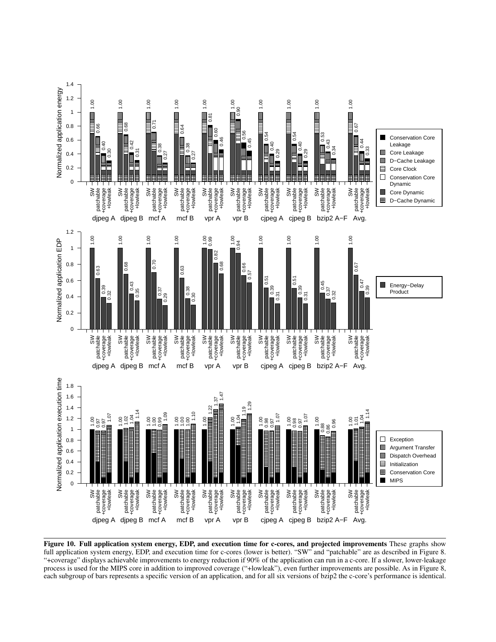

Figure 10. Full application system energy, EDP, and execution time for c-cores, and projected improvements These graphs show full application system energy, EDP, and execution time for c-cores (lower is better). "SW" and "patchable" are as described in Figure 8. "+coverage" displays achievable improvements to energy reduction if 90% of the application can run in a c-core. If a slower, lower-leakage process is used for the MIPS core in addition to improved coverage ("+lowleak"), even further improvements are possible. As in Figure 8, each subgroup of bars represents a specific version of an application, and for all six versions of bzip2 the c-core's performance is identical.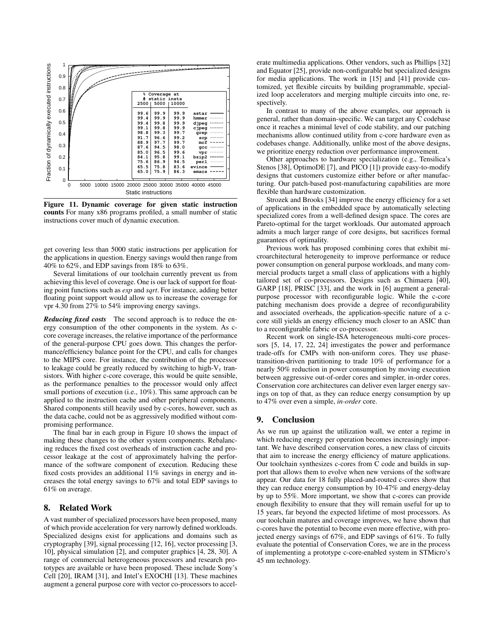

Figure 11. Dynamic coverage for given static instruction counts For many x86 programs profiled, a small number of static instructions cover much of dynamic execution.

get covering less than 5000 static instructions per application for the applications in question. Energy savings would then range from 40% to 62%, and EDP savings from 18% to 63%.

Several limitations of our toolchain currently prevent us from achieving this level of coverage. One is our lack of support for floating point functions such as *exp* and *sqrt*. For instance, adding better floating point support would allow us to increase the coverage for vpr 4.30 from 27% to 54% improving energy savings.

*Reducing fixed costs* The second approach is to reduce the energy consumption of the other components in the system. As ccore coverage increases, the relative importance of the performance of the general-purpose CPU goes down. This changes the performance/efficiency balance point for the CPU, and calls for changes to the MIPS core. For instance, the contribution of the processor to leakage could be greatly reduced by switching to high- $V_t$  transistors. With higher c-core coverage, this would be quite sensible, as the performance penalties to the processor would only affect small portions of execution (i.e., 10%). This same approach can be applied to the instruction cache and other peripheral components. Shared components still heavily used by c-cores, however, such as the data cache, could not be as aggressively modified without compromising performance.

The final bar in each group in Figure 10 shows the impact of making these changes to the other system components. Rebalancing reduces the fixed cost overheads of instruction cache and processor leakage at the cost of approximately halving the performance of the software component of execution. Reducing these fixed costs provides an additional 11% savings in energy and increases the total energy savings to 67% and total EDP savings to 61% on average.

# 8. Related Work

A vast number of specialized processors have been proposed, many of which provide acceleration for very narrowly defined workloads. Specialized designs exist for applications and domains such as cryptography [39], signal processing [12, 16], vector processing [3, 10], physical simulation [2], and computer graphics [4, 28, 30]. A range of commercial heterogeneous processors and research prototypes are available or have been proposed. These include Sony's Cell [20], IRAM [31], and Intel's EXOCHI [13]. These machines augment a general purpose core with vector co-processors to accelerate multimedia applications. Other vendors, such as Phillips [32] and Equator [25], provide non-configurable but specialized designs for media applications. The work in [15] and [41] provide customized, yet flexible circuits by building programmable, specialized loop accelerators and merging multiple circuits into one, respectively.

In contrast to many of the above examples, our approach is general, rather than domain-specific. We can target any C codebase once it reaches a minimal level of code stability, and our patching mechanisms allow continued utility from c-core hardware even as codebases change. Additionally, unlike most of the above designs, we prioritize energy reduction over performance improvement.

Other approaches to hardware specialization (e.g., Tensilica's Stenos [38], OptimoDE [7], and PICO [1]) provide easy-to-modify designs that customers customize either before or after manufacturing. Our patch-based post-manufacturing capabilities are more flexible than hardware customization.

Strozek and Brooks [34] improve the energy efficiency for a set of applications in the embedded space by automatically selecting specialized cores from a well-defined design space. The cores are Pareto-optimal for the target workloads. Our automated approach admits a much larger range of core designs, but sacrifices formal guarantees of optimality.

Previous work has proposed combining cores that exhibit microarchitectural heterogeneity to improve performance or reduce power consumption on general purpose workloads, and many commercial products target a small class of applications with a highly tailored set of co-processors. Designs such as Chimaera [40], GARP [18], PRISC [33], and the work in [6] augment a generalpurpose processor with reconfigurable logic. While the c-core patching mechanism does provide a degree of reconfigurability and associated overheads, the application-specific nature of a ccore still yields an energy efficiency much closer to an ASIC than to a reconfigurable fabric or co-processor.

Recent work on single-ISA heterogeneous multi-core processors [5, 14, 17, 22, 24] investigates the power and performance trade-offs for CMPs with non-uniform cores. They use phasetransition-driven partitioning to trade 10% of performance for a nearly 50% reduction in power consumption by moving execution between aggressive out-of-order cores and simpler, in-order cores. Conservation core architectures can deliver even larger energy savings on top of that, as they can reduce energy consumption by up to 47% over even a simple, *in-order* core.

# 9. Conclusion

As we run up against the utilization wall, we enter a regime in which reducing energy per operation becomes increasingly important. We have described conservation cores, a new class of circuits that aim to increase the energy efficiency of mature applications. Our toolchain synthesizes c-cores from C code and builds in support that allows them to evolve when new versions of the software appear. Our data for 18 fully placed-and-routed c-cores show that they can reduce energy consumption by 10-47% and energy-delay by up to 55%. More important, we show that c-cores can provide enough flexibility to ensure that they will remain useful for up to 15 years, far beyond the expected lifetime of most processors. As our toolchain matures and coverage improves, we have shown that c-cores have the potential to become even more effective, with projected energy savings of 67%, and EDP savings of 61%. To fully evaluate the potential of Conservation Cores, we are in the process of implementing a prototype c-core-enabled system in STMicro's 45 nm technology.